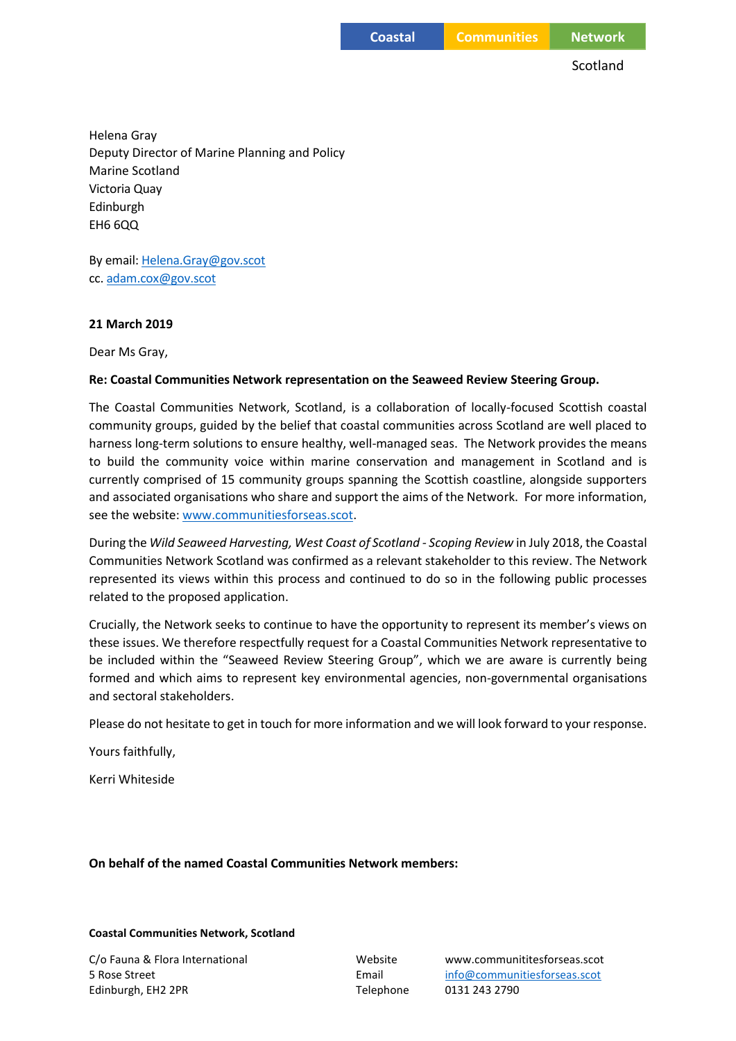**Coastal Communities Network**

Scotland

Helena Gray Deputy Director of Marine Planning and Policy Marine Scotland Victoria Quay Edinburgh EH6 6QQ

By email[: Helena.Gray@gov.scot](mailto:Helena.Gray@gov.scot) cc. [adam.cox@gov.scot](mailto:adam.cox@gov.scot)

## **21 March 2019**

Dear Ms Gray,

## **Re: Coastal Communities Network representation on the Seaweed Review Steering Group.**

The Coastal Communities Network, Scotland, is a collaboration of locally-focused Scottish coastal community groups, guided by the belief that coastal communities across Scotland are well placed to harness long-term solutions to ensure healthy, well-managed seas. The Network provides the means to build the community voice within marine conservation and management in Scotland and is currently comprised of 15 community groups spanning the Scottish coastline, alongside supporters and associated organisations who share and support the aims of the Network. For more information, see the website[: www.communitiesforseas.scot.](http://www.communitiesforseas.scot/)

During the *Wild Seaweed Harvesting, West Coast of Scotland - Scoping Review* in July 2018, the Coastal Communities Network Scotland was confirmed as a relevant stakeholder to this review. The Network represented its views within this process and continued to do so in the following public processes related to the proposed application.

Crucially, the Network seeks to continue to have the opportunity to represent its member's views on these issues. We therefore respectfully request for a Coastal Communities Network representative to be included within the "Seaweed Review Steering Group", which we are aware is currently being formed and which aims to represent key environmental agencies, non-governmental organisations and sectoral stakeholders.

Please do not hesitate to get in touch for more information and we will look forward to your response.

Yours faithfully,

Kerri Whiteside

**On behalf of the named Coastal Communities Network members:**

## **Coastal Communities Network, Scotland**

Edinburgh, EH2 2PR Telephone 0131 243 2790